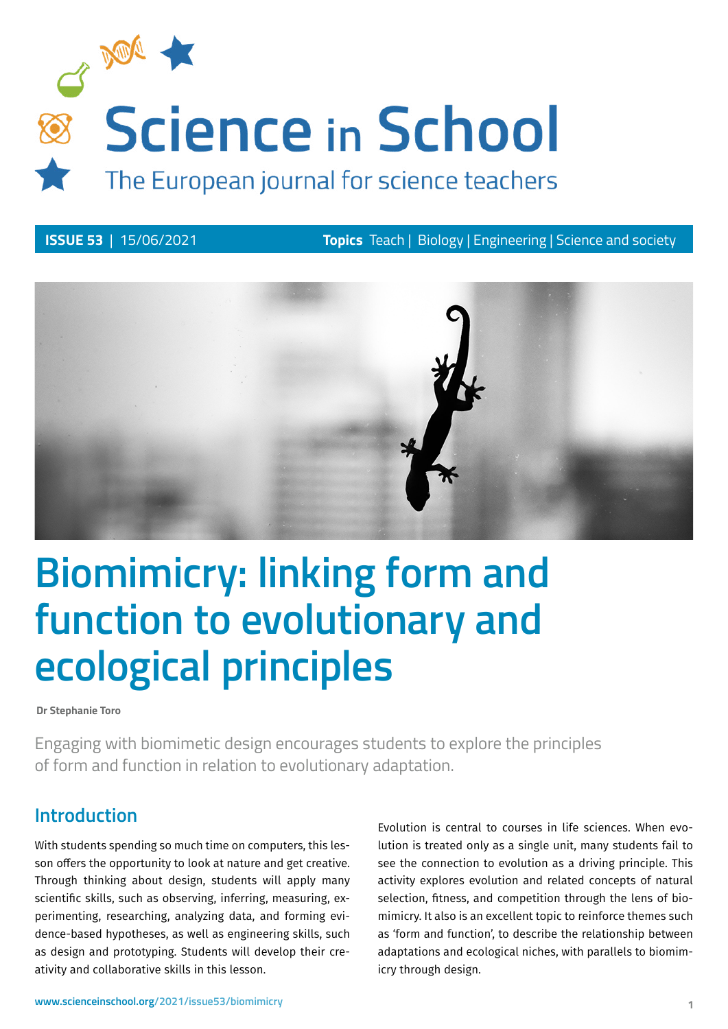

**ISSUE 53** | 15/06/2021 **Topics** Teach | Biology | Engineering | Science and society



# **Biomimicry: linking form and function to evolutionary and ecological principles**

**Dr Stephanie Toro**

Engaging with biomimetic design encourages students to explore the principles of form and function in relation to evolutionary adaptation.

# **Introduction**

With students spending so much time on computers, this lesson offers the opportunity to look at nature and get creative. Through thinking about design, students will apply many scientific skills, such as observing, inferring, measuring, experimenting, researching, analyzing data, and forming evidence-based hypotheses, as well as engineering skills, such as design and prototyping. Students will develop their creativity and collaborative skills in this lesson.

Evolution is central to courses in life sciences. When evolution is treated only as a single unit, many students fail to see the connection to evolution as a driving principle. This activity explores evolution and related concepts of natural selection, fitness, and competition through the lens of biomimicry. It also is an excellent topic to reinforce themes such as 'form and function', to describe the relationship between adaptations and ecological niches, with parallels to biomimicry through design.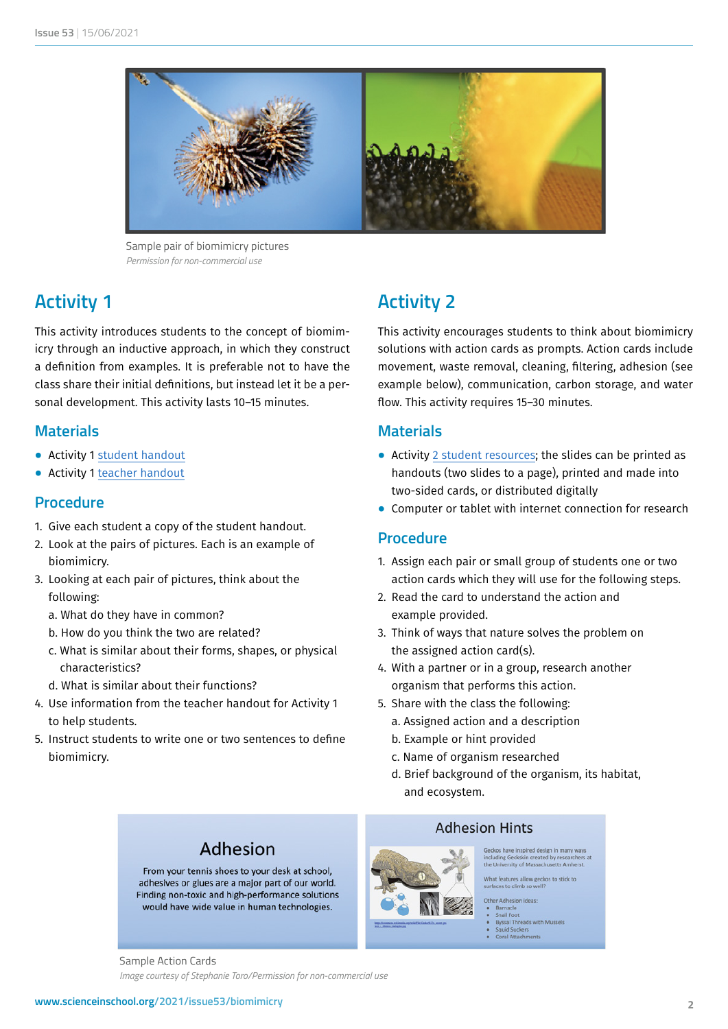

Sample pair of biomimicry pictures *Permission for non-commercial use*

# **Activity 1**

This activity introduces students to the concept of biomimicry through an inductive approach, in which they construct a definition from examples. It is preferable not to have the class share their initial definitions, but instead let it be a personal development. This activity lasts 10–15 minutes.

#### **Materials**

- ⦁ Activity 1 [student handout](https://www.scienceinschool.org/wp-content/uploads/2021/06/Activity-1-Worksheet.docx)
- ⦁ Activity 1 [teacher handout](https://www.scienceinschool.org/wp-content/uploads/2021/06/Activity-1-Teacher-Resources.pdf)

## **Procedure**

- 1. Give each student a copy of the student handout.
- 2. Look at the pairs of pictures. Each is an example of biomimicry.
- 3. Looking at each pair of pictures, think about the following:
	- a. What do they have in common?
	- b. How do you think the two are related?
	- c. What is similar about their forms, shapes, or physical characteristics?
	- d. What is similar about their functions?
- 4. Use information from the teacher handout for Activity 1 to help students.
- 5. Instruct students to write one or two sentences to define biomimicry.

# **Activity 2**

This activity encourages students to think about biomimicry solutions with action cards as prompts. Action cards include movement, waste removal, cleaning, filtering, adhesion (see example below), communication, carbon storage, and water flow. This activity requires 15–30 minutes.

#### **Materials**

- ⦁ Activity [2 student resources;](https://www.scienceinschool.org/wp-content/uploads/2021/06/Activity-2-Cards.pdf) the slides can be printed as handouts (two slides to a page), printed and made into two-sided cards, or distributed digitally
- ⦁ Computer or tablet with internet connection for research

#### **Procedure**

- 1. Assign each pair or small group of students one or two action cards which they will use for the following steps.
- 2. Read the card to understand the action and example provided.
- 3. Think of ways that nature solves the problem on the assigned action card(s).
- 4. With a partner or in a group, research another organism that performs this action.
- 5. Share with the class the following:
	- a. Assigned action and a description
	- b. Example or hint provided
	- c. Name of organism researched
	- d. Brief background of the organism, its habitat, and ecosystem.

# Adhesion

From your tennis shoes to your desk at school, adhesives or glues are a major part of our world. Finding non-toxic and high-performance solutions would have wide value in human technologies.

## **Adhesion Hints**



ing Geckskin created by re<br>niversity of Massachusetts

- 
- er Adnesion ideas:<br>Barnacle<br>Snail Foot<br>Byssal Threads with Mussels<br>Squid Suckers<br>Coral Attachments

Sample Action Cards *Image courtesy of Stephanie Toro/Permission for non-commercial use*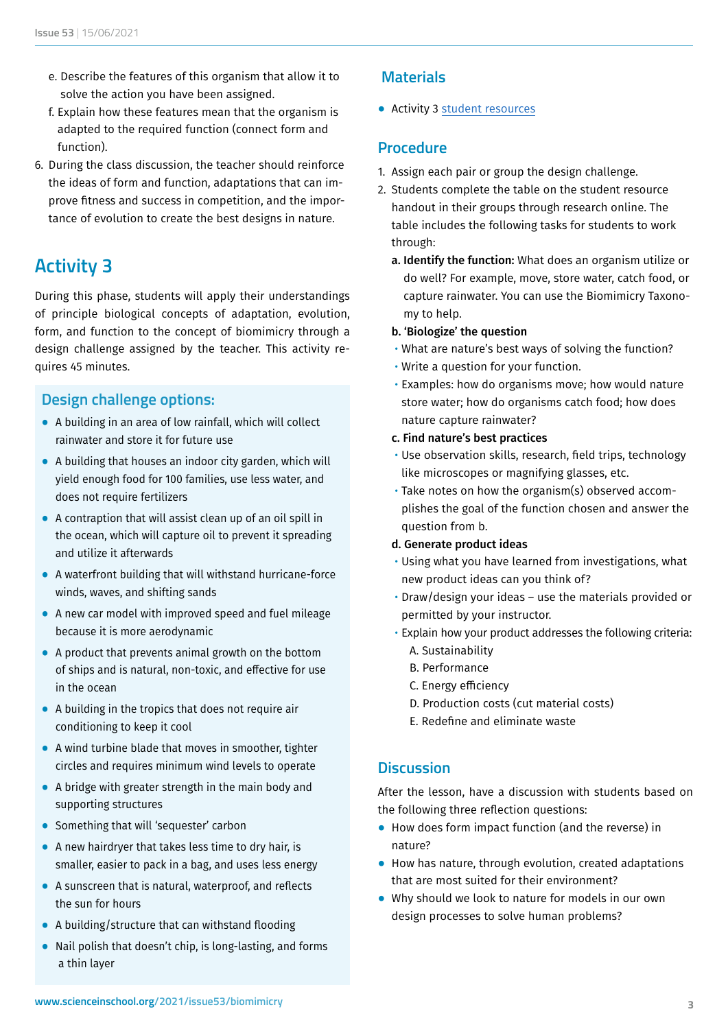- e. Describe the features of this organism that allow it to solve the action you have been assigned.
- f. Explain how these features mean that the organism is adapted to the required function (connect form and function).
- 6. During the class discussion, the teacher should reinforce the ideas of form and function, adaptations that can improve fitness and success in competition, and the importance of evolution to create the best designs in nature.

# **Activity 3**

During this phase, students will apply their understandings of principle biological concepts of adaptation, evolution, form, and function to the concept of biomimicry through a design challenge assigned by the teacher. This activity requires 45 minutes.

## **Design challenge options:**

- ⦁ A building in an area of low rainfall, which will collect rainwater and store it for future use
- ⦁ A building that houses an indoor city garden, which will yield enough food for 100 families, use less water, and does not require fertilizers
- ⦁ A contraption that will assist clean up of an oil spill in the ocean, which will capture oil to prevent it spreading and utilize it afterwards
- ⦁ A waterfront building that will withstand hurricane-force winds, waves, and shifting sands
- ⦁ A new car model with improved speed and fuel mileage because it is more aerodynamic
- ⦁ A product that prevents animal growth on the bottom of ships and is natural, non-toxic, and effective for use in the ocean
- A building in the tropics that does not require air conditioning to keep it cool
- A wind turbine blade that moves in smoother, tighter circles and requires minimum wind levels to operate
- ⦁ A bridge with greater strength in the main body and supporting structures
- Something that will 'sequester' carbon
- A new hairdryer that takes less time to dry hair, is smaller, easier to pack in a bag, and uses less energy
- A sunscreen that is natural, waterproof, and reflects the sun for hours
- ⦁ A building/structure that can withstand flooding
- ⦁ Nail polish that doesn't chip, is long-lasting, and forms a thin layer

# **Materials**

⦁ Activity 3 [student resources](https://www.scienceinschool.org/wp-content/uploads/2021/06/Activity-3-Worksheet.docx)

### **Procedure**

- 1. Assign each pair or group the design challenge.
- 2. Students complete the table on the student resource handout in their groups through research online. The table includes the following tasks for students to work through:
	- a. Identify the function: What does an organism utilize or do well? For example, move, store water, catch food, or capture rainwater. You can use th[e Biomimicry Taxono](http://static.biomimicry.org/asknature/biomimicry_taxonomy-v6.0.pdf)[my](http://static.biomimicry.org/asknature/biomimicry_taxonomy-v6.0.pdf) to help.
	- b. 'Biologize' the question
	- What are nature's best ways of solving the function?
	- Write a question for your function.
	- Examples: how do organisms move; how would nature store water; how do organisms catch food; how does nature capture rainwater?

#### c. Find nature's best practices

- Use observation skills, research, field trips, technology like microscopes or magnifying glasses, etc.
- Take notes on how the organism(s) observed accomplishes the goal of the function chosen and answer the question from b.

#### d. Generate product ideas

- Using what you have learned from investigations, what new product ideas can you think of?
- Draw/design your ideas use the materials provided or permitted by your instructor.
- Explain how your product addresses the following criteria: A. Sustainability
	- B. Performance
	- C. Energy efficiency
	- D. Production costs (cut material costs)
	- E. Redefine and eliminate waste

## **Discussion**

After the lesson, have a discussion with students based on the following three reflection questions:

- How does form impact function (and the reverse) in nature?
- ⦁ How has nature, through evolution, created adaptations that are most suited for their environment?
- ⦁ Why should we look to nature for models in our own design processes to solve human problems?